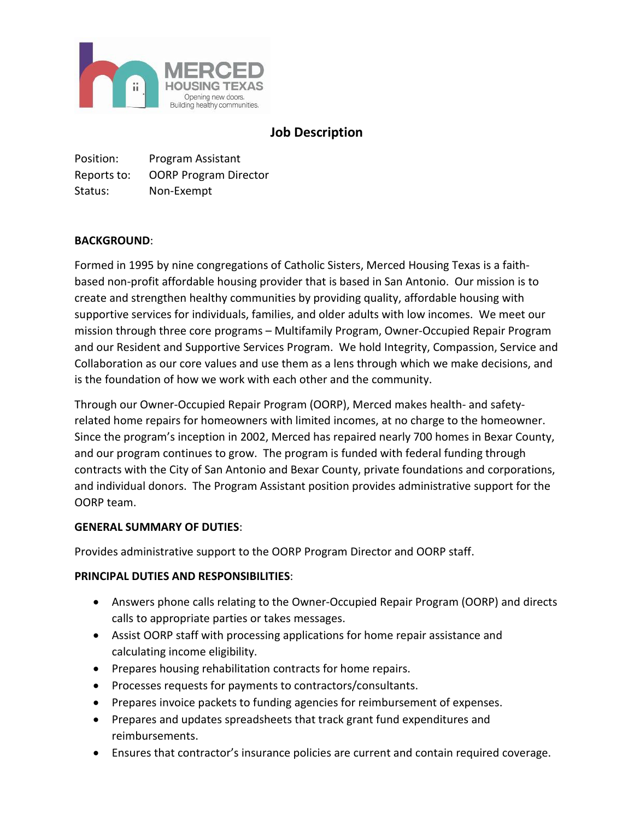

# **Job Description**

Position: Program Assistant Reports to: OORP Program Director Status: Non-Exempt

## **BACKGROUND**:

Formed in 1995 by nine congregations of Catholic Sisters, Merced Housing Texas is a faithbased non-profit affordable housing provider that is based in San Antonio. Our mission is to create and strengthen healthy communities by providing quality, affordable housing with supportive services for individuals, families, and older adults with low incomes. We meet our mission through three core programs – Multifamily Program, Owner-Occupied Repair Program and our Resident and Supportive Services Program. We hold Integrity, Compassion, Service and Collaboration as our core values and use them as a lens through which we make decisions, and is the foundation of how we work with each other and the community.

Through our Owner-Occupied Repair Program (OORP), Merced makes health- and safetyrelated home repairs for homeowners with limited incomes, at no charge to the homeowner. Since the program's inception in 2002, Merced has repaired nearly 700 homes in Bexar County, and our program continues to grow. The program is funded with federal funding through contracts with the City of San Antonio and Bexar County, private foundations and corporations, and individual donors. The Program Assistant position provides administrative support for the OORP team.

#### **GENERAL SUMMARY OF DUTIES**:

Provides administrative support to the OORP Program Director and OORP staff.

#### **PRINCIPAL DUTIES AND RESPONSIBILITIES**:

- Answers phone calls relating to the Owner-Occupied Repair Program (OORP) and directs calls to appropriate parties or takes messages.
- Assist OORP staff with processing applications for home repair assistance and calculating income eligibility.
- Prepares housing rehabilitation contracts for home repairs.
- Processes requests for payments to contractors/consultants.
- Prepares invoice packets to funding agencies for reimbursement of expenses.
- Prepares and updates spreadsheets that track grant fund expenditures and reimbursements.
- Ensures that contractor's insurance policies are current and contain required coverage.